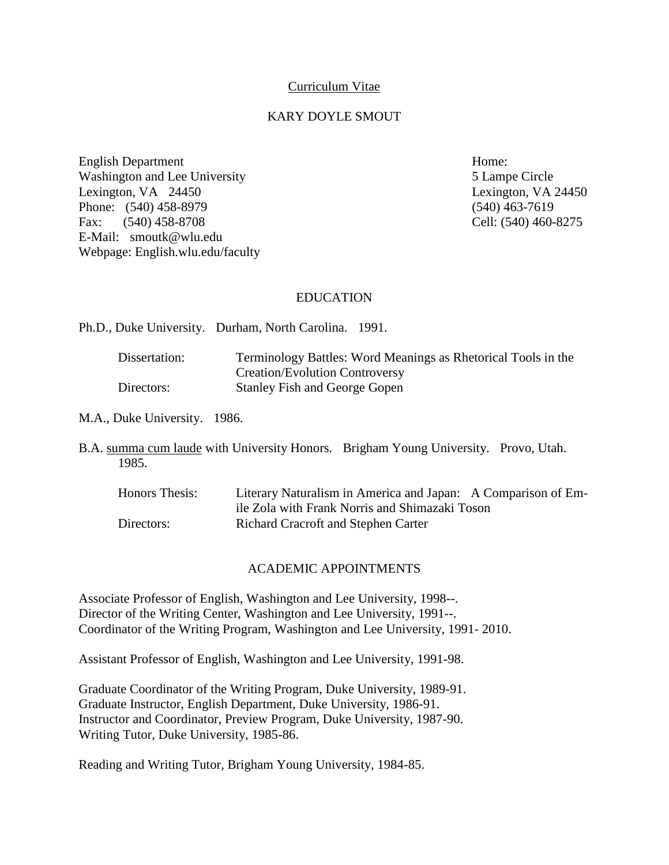## Curriculum Vitae

### KARY DOYLE SMOUT

English Department Home: Washington and Lee University **5** Lampe Circle Lexington, VA 24450 Lexington, VA 24450 Phone: (540) 458-8979 (540) 463-7619 Fax: (540) 458-8708 Cell: (540) 460-8275 E-Mail: [smoutk@wlu.edu](mailto:smoutk@wlu.edu) Webpage: English.wlu.edu/faculty

#### EDUCATION

Ph.D., Duke University. Durham, North Carolina. 1991.

| Dissertation: | Terminology Battles: Word Meanings as Rhetorical Tools in the |
|---------------|---------------------------------------------------------------|
|               | <b>Creation/Evolution Controversy</b>                         |
| Directors:    | <b>Stanley Fish and George Gopen</b>                          |

M.A., Duke University. 1986.

B.A. summa cum laude with University Honors. Brigham Young University. Provo, Utah. 1985.

| Honors Thesis: | Literary Naturalism in America and Japan: A Comparison of Em- |
|----------------|---------------------------------------------------------------|
|                | ile Zola with Frank Norris and Shimazaki Toson                |
| Directors:     | <b>Richard Cracroft and Stephen Carter</b>                    |

#### ACADEMIC APPOINTMENTS

Associate Professor of English, Washington and Lee University, 1998--. Director of the Writing Center, Washington and Lee University, 1991--. Coordinator of the Writing Program, Washington and Lee University, 1991- 2010.

Assistant Professor of English, Washington and Lee University, 1991-98.

Graduate Coordinator of the Writing Program, Duke University, 1989-91. Graduate Instructor, English Department, Duke University, 1986-91. Instructor and Coordinator, Preview Program, Duke University, 1987-90. Writing Tutor, Duke University, 1985-86.

Reading and Writing Tutor, Brigham Young University, 1984-85.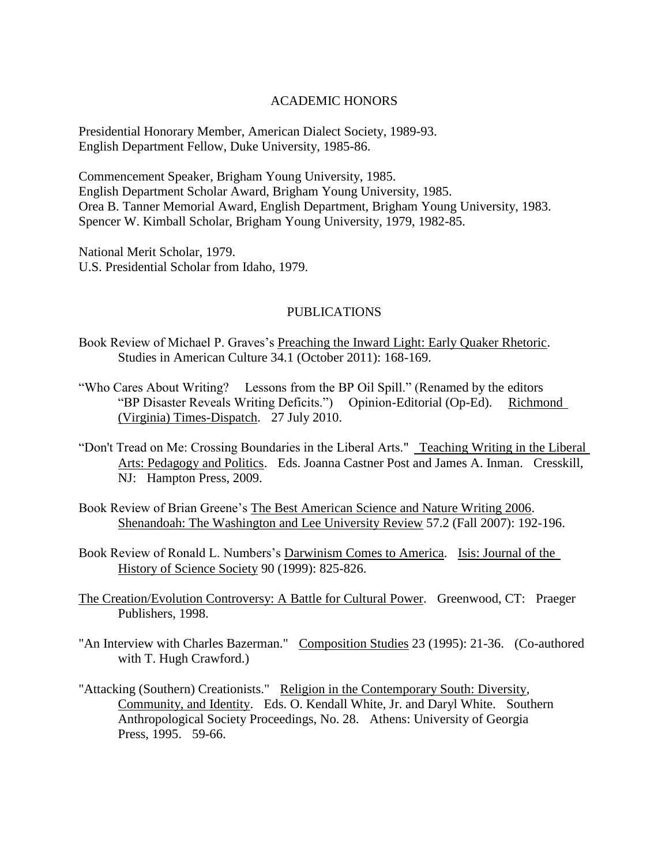## ACADEMIC HONORS

Presidential Honorary Member, American Dialect Society, 1989-93. English Department Fellow, Duke University, 1985-86.

Commencement Speaker, Brigham Young University, 1985. English Department Scholar Award, Brigham Young University, 1985. Orea B. Tanner Memorial Award, English Department, Brigham Young University, 1983. Spencer W. Kimball Scholar, Brigham Young University, 1979, 1982-85.

National Merit Scholar, 1979. U.S. Presidential Scholar from Idaho, 1979.

## PUBLICATIONS

- Book Review of Michael P. Graves's Preaching the Inward Light: Early Quaker Rhetoric. Studies in American Culture 34.1 (October 2011): 168-169.
- "Who Cares About Writing? Lessons from the BP Oil Spill." (Renamed by the editors "BP Disaster Reveals Writing Deficits.") Opinion-Editorial (Op-Ed). Richmond (Virginia) Times-Dispatch. 27 July 2010.
- "Don't Tread on Me: Crossing Boundaries in the Liberal Arts." Teaching Writing in the Liberal Arts: Pedagogy and Politics. Eds. Joanna Castner Post and James A. Inman. Cresskill, NJ: Hampton Press, 2009.
- Book Review of Brian Greene's The Best American Science and Nature Writing 2006. Shenandoah: The Washington and Lee University Review 57.2 (Fall 2007): 192-196.
- Book Review of Ronald L. Numbers's Darwinism Comes to America. Isis: Journal of the History of Science Society 90 (1999): 825-826.
- The Creation/Evolution Controversy: A Battle for Cultural Power. Greenwood, CT: Praeger Publishers, 1998.
- "An Interview with Charles Bazerman." Composition Studies 23 (1995): 21-36. (Co-authored with T. Hugh Crawford.)
- "Attacking (Southern) Creationists." Religion in the Contemporary South: Diversity, Community, and Identity. Eds. O. Kendall White, Jr. and Daryl White. Southern Anthropological Society Proceedings, No. 28. Athens: University of Georgia Press, 1995. 59-66.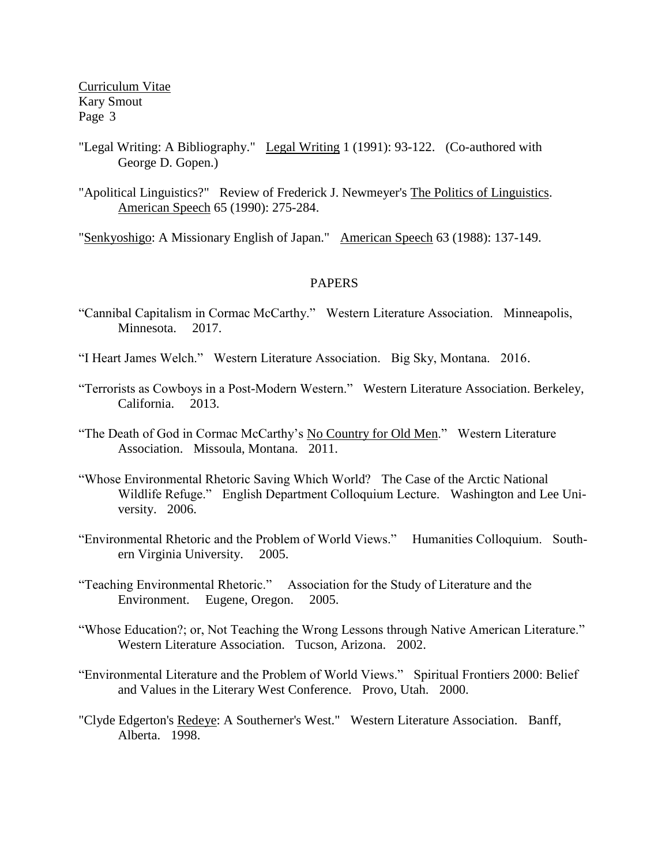- "Legal Writing: A Bibliography." Legal Writing 1 (1991): 93-122. (Co-authored with George D. Gopen.)
- "Apolitical Linguistics?" Review of Frederick J. Newmeyer's The Politics of Linguistics. American Speech 65 (1990): 275-284.

"Senkyoshigo: A Missionary English of Japan." American Speech 63 (1988): 137-149.

### PAPERS

- "Cannibal Capitalism in Cormac McCarthy." Western Literature Association. Minneapolis, Minnesota. 2017.
- "I Heart James Welch." Western Literature Association. Big Sky, Montana. 2016.
- "Terrorists as Cowboys in a Post-Modern Western." Western Literature Association. Berkeley, California. 2013.
- "The Death of God in Cormac McCarthy's No Country for Old Men." Western Literature Association. Missoula, Montana. 2011.
- "Whose Environmental Rhetoric Saving Which World? The Case of the Arctic National Wildlife Refuge." English Department Colloquium Lecture. Washington and Lee University. 2006.
- "Environmental Rhetoric and the Problem of World Views." Humanities Colloquium. Southern Virginia University. 2005.
- "Teaching Environmental Rhetoric." Association for the Study of Literature and the Environment. Eugene, Oregon. 2005.
- "Whose Education?; or, Not Teaching the Wrong Lessons through Native American Literature." Western Literature Association. Tucson, Arizona. 2002.
- "Environmental Literature and the Problem of World Views." Spiritual Frontiers 2000: Belief and Values in the Literary West Conference. Provo, Utah. 2000.
- "Clyde Edgerton's Redeye: A Southerner's West." Western Literature Association. Banff, Alberta. 1998.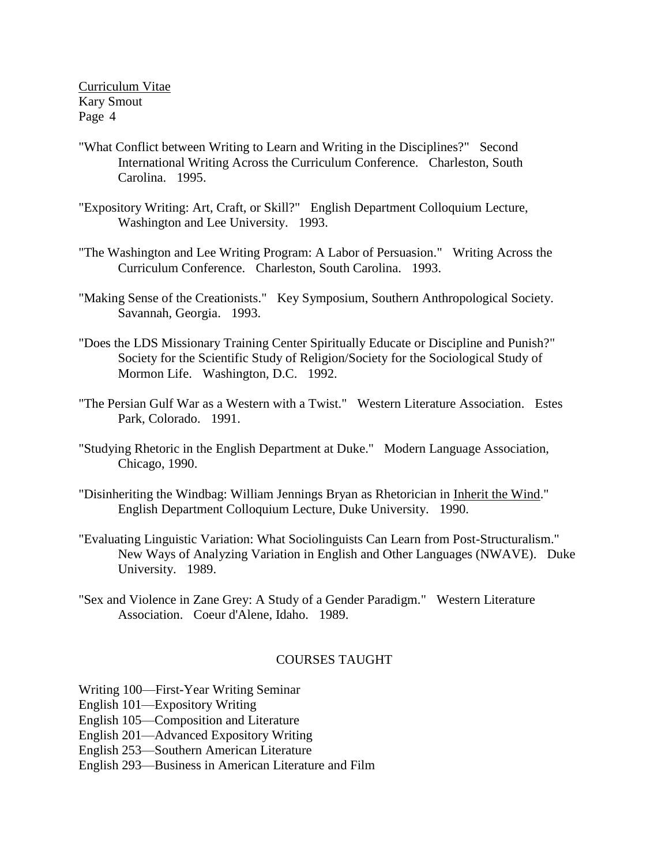- "What Conflict between Writing to Learn and Writing in the Disciplines?" Second International Writing Across the Curriculum Conference. Charleston, South Carolina. 1995.
- "Expository Writing: Art, Craft, or Skill?" English Department Colloquium Lecture, Washington and Lee University. 1993.
- "The Washington and Lee Writing Program: A Labor of Persuasion." Writing Across the Curriculum Conference. Charleston, South Carolina. 1993.
- "Making Sense of the Creationists." Key Symposium, Southern Anthropological Society. Savannah, Georgia. 1993.
- "Does the LDS Missionary Training Center Spiritually Educate or Discipline and Punish?" Society for the Scientific Study of Religion/Society for the Sociological Study of Mormon Life. Washington, D.C. 1992.
- "The Persian Gulf War as a Western with a Twist." Western Literature Association. Estes Park, Colorado. 1991.
- "Studying Rhetoric in the English Department at Duke." Modern Language Association, Chicago, 1990.
- "Disinheriting the Windbag: William Jennings Bryan as Rhetorician in Inherit the Wind." English Department Colloquium Lecture, Duke University. 1990.
- "Evaluating Linguistic Variation: What Sociolinguists Can Learn from Post-Structuralism." New Ways of Analyzing Variation in English and Other Languages (NWAVE). Duke University. 1989.
- "Sex and Violence in Zane Grey: A Study of a Gender Paradigm." Western Literature Association. Coeur d'Alene, Idaho. 1989.

# COURSES TAUGHT

- Writing 100—First-Year Writing Seminar
- English 101—Expository Writing
- English 105—Composition and Literature
- English 201—Advanced Expository Writing
- English 253—Southern American Literature
- English 293—Business in American Literature and Film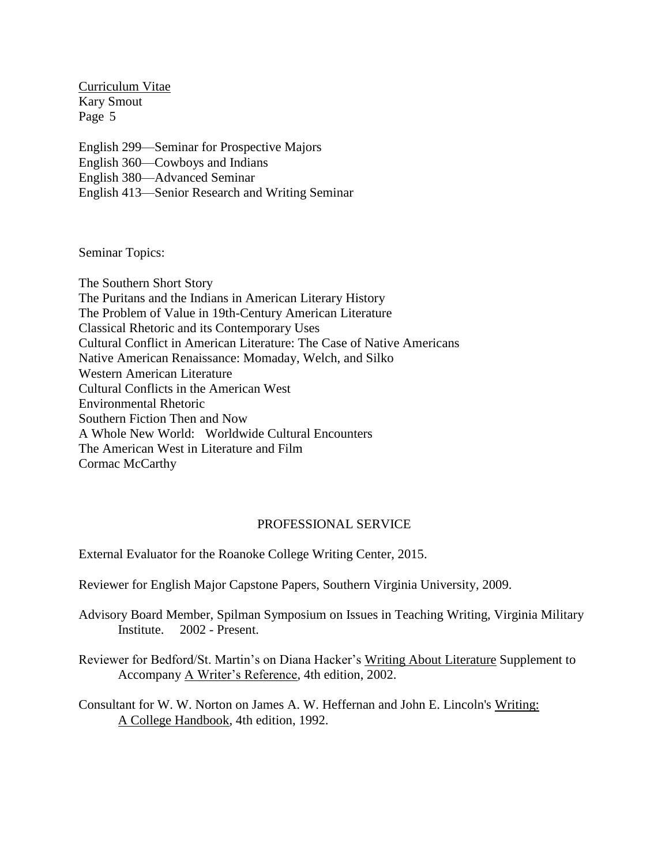English 299—Seminar for Prospective Majors English 360—Cowboys and Indians English 380—Advanced Seminar

English 413—Senior Research and Writing Seminar

Seminar Topics:

The Southern Short Story The Puritans and the Indians in American Literary History The Problem of Value in 19th-Century American Literature Classical Rhetoric and its Contemporary Uses Cultural Conflict in American Literature: The Case of Native Americans Native American Renaissance: Momaday, Welch, and Silko Western American Literature Cultural Conflicts in the American West Environmental Rhetoric Southern Fiction Then and Now A Whole New World: Worldwide Cultural Encounters The American West in Literature and Film Cormac McCarthy

# PROFESSIONAL SERVICE

External Evaluator for the Roanoke College Writing Center, 2015.

Reviewer for English Major Capstone Papers, Southern Virginia University, 2009.

Advisory Board Member, Spilman Symposium on Issues in Teaching Writing, Virginia Military Institute. 2002 - Present.

Reviewer for Bedford/St. Martin's on Diana Hacker's Writing About Literature Supplement to Accompany A Writer's Reference, 4th edition, 2002.

Consultant for W. W. Norton on James A. W. Heffernan and John E. Lincoln's Writing: A College Handbook, 4th edition, 1992.